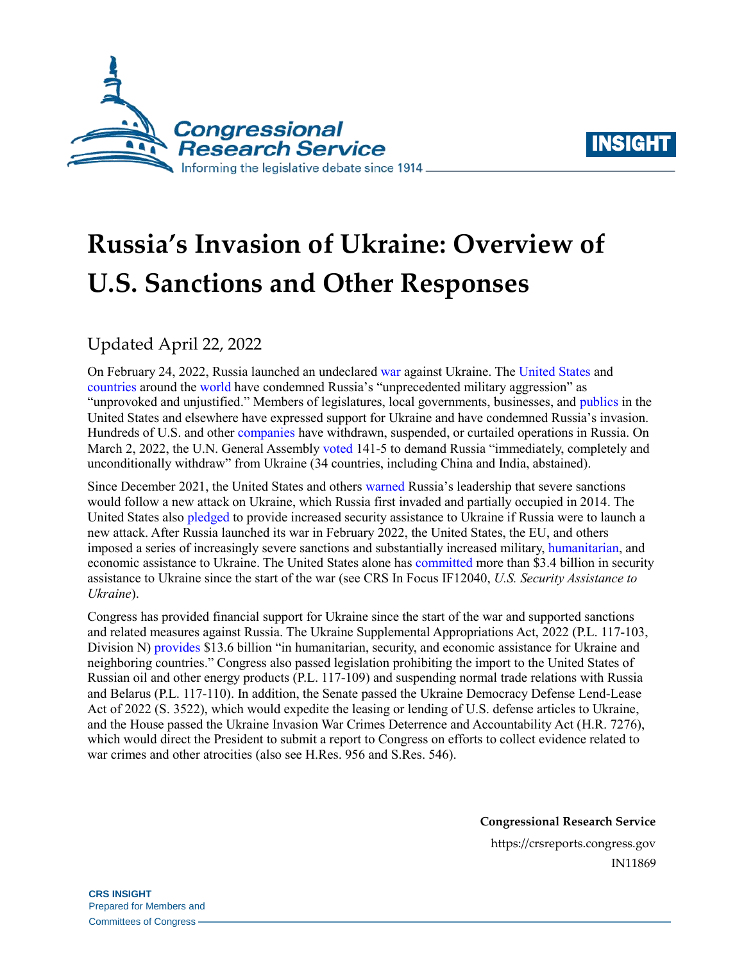



# **Russia's Invasion of Ukraine: Overview of U.S. Sanctions and Other Responses**

Updated April 22, 2022

On February 24, 2022, Russia launched an undeclared [war](https://crsreports.congress.gov/product/pdf/R/R47068) against Ukraine. The [United States](https://www.whitehouse.gov/briefing-room/statements-releases/2022/02/23/statement-by-president-biden-on-russias-unprovoked-and-unjustified-attack-on-ukraine/) and [countries](https://ec.europa.eu/commission/presscorner/detail/en/statement_22_1321) around the [world](https://www.gov.uk/government/news/g7-leaders-statement-on-the-invasion-of-ukraine-by-armed-forces-of-the-russian-federation-24-february-2022) have condemned Russia's "unprecedented military aggression" as "unprovoked and unjustified." Members of legislatures, local governments, businesses, and [publics](https://www.cnn.com/2022/02/26/world/gallery/ukraine-protests-global/index.html) in the United States and elsewhere have expressed support for Ukraine and have condemned Russia's invasion. Hundreds of U.S. and other [companies](https://som.yale.edu/story/2022/over-750-companies-have-curtailed-operations-russia-some-remain) have withdrawn, suspended, or curtailed operations in Russia. On March 2, 2022, the U.N. General Assembly [voted](https://news.un.org/en/story/2022/03/1113152) 141-5 to demand Russia "immediately, completely and unconditionally withdraw" from Ukraine (34 countries, including China and India, abstained).

Since December 2021, the United States and others [warned](https://www.state.gov/g7-foreign-ministers-statement-on-russia-and-ukraine-2/) Russia's leadership that severe sanctions would follow a new attack on Ukraine, which Russia first invaded and partially occupied in 2014. The United States also [pledged](https://www.whitehouse.gov/briefing-room/press-briefings/2021/12/07/press-briefing-by-press-secretary-jen-psaki-and-national-security-advisor-jake-sullivan-december-7-2021/) to provide increased security assistance to Ukraine if Russia were to launch a new attack. After Russia launched its war in February 2022, the United States, the EU, and others imposed a series of increasingly severe sanctions and substantially increased military, [humanitarian,](https://crsreports.congress.gov/product/pdf/IN/IN11882) and economic assistance to Ukraine. The United States alone has [committed](https://www.state.gov/u-s-security-cooperation-with-ukraine/) more than \$3.4 billion in security assistance to Ukraine since the start of the war (see CRS In Focus IF12040, *[U.S. Security Assistance to](https://crsreports.congress.gov/product/pdf/IF/IF12040)  [Ukraine](https://crsreports.congress.gov/product/pdf/IF/IF12040)*).

Congress has provided financial support for Ukraine since the start of the war and supported sanctions and related measures against Russia. The Ukraine Supplemental Appropriations Act, 2022 [\(P.L. 117-103,](http://www.congress.gov/cgi-lis/bdquery/R?d117:FLD002:@1(117+103)) Division N) [provides](https://www.whitehouse.gov/briefing-room/statements-releases/2022/03/10/fact-sheet-biden-harris-administration-applauds-house-passage-of-bipartisan-government-funding-bill/) \$13.6 billion "in humanitarian, security, and economic assistance for Ukraine and neighboring countries." Congress also passed legislation prohibiting the import to the United States of Russian oil and other energy products [\(P.L. 117-109\)](http://www.congress.gov/cgi-lis/bdquery/R?d117:FLD002:@1(117+109)) and suspending normal trade relations with Russia and Belarus [\(P.L. 117-110\)](http://www.congress.gov/cgi-lis/bdquery/R?d117:FLD002:@1(117+110)). In addition, the Senate passed the Ukraine Democracy Defense Lend-Lease Act of 2022 [\(S. 3522\)](http://www.congress.gov/cgi-lis/bdquery/z?d117:S.3522:), which would expedite the leasing or lending of U.S. defense articles to Ukraine, and the House passed the Ukraine Invasion War Crimes Deterrence and Accountability Act [\(H.R. 7276\)](http://www.congress.gov/cgi-lis/bdquery/z?d117:H.R.7276:), which would direct the President to submit a report to Congress on efforts to collect evidence related to war crimes and other atrocities (also see [H.Res. 956](http://www.congress.gov/cgi-lis/bdquery/z?d117:H.Res.956:) and [S.Res. 546\)](http://www.congress.gov/cgi-lis/bdquery/z?d117:S.Res.546:).

> **Congressional Research Service** https://crsreports.congress.gov IN11869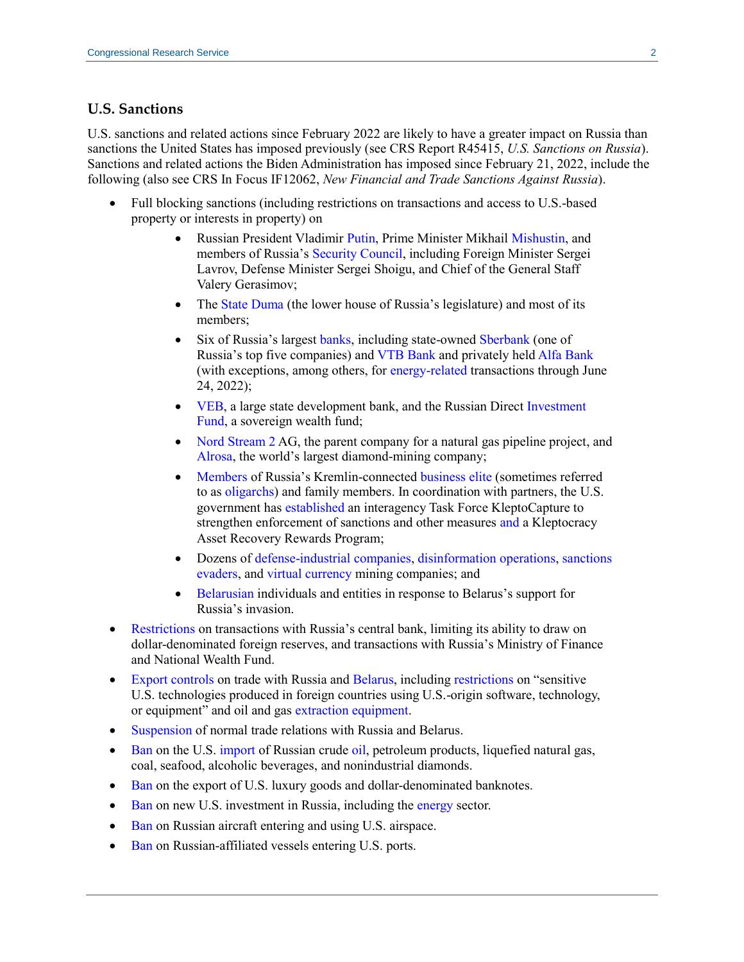### **U.S. Sanctions**

U.S. sanctions and related actions since February 2022 are likely to have a greater impact on Russia than sanctions the United States has imposed previously (see CRS Report R45415, *[U.S. Sanctions on Russia](https://crsreports.congress.gov/product/pdf/R/R45415)*). Sanctions and related actions the Biden Administration has imposed since February 21, 2022, include the following (also see CRS In Focus IF12062, *[New Financial and Trade Sanctions Against Russia](https://crsreports.congress.gov/product/pdf/IF/IF12062)*).

- Full blocking sanctions (including restrictions on transactions and access to U.S.-based property or interests in property) on
	- Russian President Vladimir [Putin,](https://home.treasury.gov/news/press-releases/jy0610) Prime Minister Mikhail [Mishustin,](https://home.treasury.gov/news/press-releases/jy0705) and members of Russia's [Security Council,](https://home.treasury.gov/news/press-releases/jy0705) including Foreign Minister Sergei Lavrov, Defense Minister Sergei Shoigu, and Chief of the General Staff Valery Gerasimov;
	- The [State Duma](https://home.treasury.gov/news/press-releases/jy0677) (the lower house of Russia's legislature) and most of its members;
	- Six of Russia's largest [banks,](https://home.treasury.gov/news/press-releases/jy0602) including state-owned [Sberbank](https://home.treasury.gov/news/press-releases/jy0705) (one of Russia's top five companies) an[d VTB Bank](https://home.treasury.gov/news/press-releases/jy0608) and privately held [Alfa Bank](https://home.treasury.gov/news/press-releases/jy0705) (with exceptions, among others, for [energy-related](https://home.treasury.gov/system/files/126/russia_gl8b.pdf) transactions through June 24, 2022);
	- [VEB,](https://home.treasury.gov/news/press-releases/jy0602) a large state development bank, and the Russian Direct Investment [Fund,](https://home.treasury.gov/news/press-releases/jy0612) a sovereign wealth fund;
	- [Nord Stream 2](https://www.state.gov/sanctioning-ns2ag-matthias-warnig-and-ns2ags-corporate-officers/) AG, the parent company for a natural gas pipeline project, and [Alrosa,](https://home.treasury.gov/news/press-releases/jy0707) the world's largest diamond-mining company;
	- [Members](https://home.treasury.gov/news/press-releases/jy0650) of Russia's Kremlin-connected [business](https://home.treasury.gov/news/press-releases/jy0602) [elite](https://home.treasury.gov/news/press-releases/jy0608) (sometimes referred to as [oligarchs\)](https://home.treasury.gov/news/press-releases/jy0628) and family members. In coordination with partners, the U.S. government ha[s established](https://www.justice.gov/opa/pr/attorney-general-merrick-b-garland-announces-launch-task-force-kleptocapture) an interagency Task Force KleptoCapture to strengthen enforcement of sanctions and other measures [and](https://home.treasury.gov/news/press-releases/jy0659) a Kleptocracy Asset Recovery Rewards Program;
	- Dozens of [defense-industrial](https://www.state.gov/targeting-russian-elites-and-defense-enterprises-of-russian-federation/) [companies,](https://home.treasury.gov/news/press-releases/jy0677) [disinformation](https://home.treasury.gov/news/press-releases/jy0628) [operations,](https://home.treasury.gov/news/press-releases/jy0731) [sanctions](https://home.treasury.gov/news/press-releases/jy0692) [evaders,](https://home.treasury.gov/news/press-releases/jy0731) an[d virtual currency](https://home.treasury.gov/news/press-releases/jy0731) mining companies; and
	- [Belarusian](https://home.treasury.gov/news/press-releases/jy0607) individuals and entities in response to Belarus's support for Russia's invasion.
- [Restrictions](https://home.treasury.gov/news/press-releases/jy0612) on transactions with Russia's central bank, limiting its ability to draw on dollar-denominated foreign reserves, and transactions with Russia's Ministry of Finance and National Wealth Fund.
- [Export controls](https://www.bis.doc.gov/index.php/policy-guidance/country-guidance/russia-belarus) on trade with Russia and [Belarus,](https://www.bis.doc.gov/index.php/documents/about-bis/newsroom/press-releases/2916-2022-03-02-bis-belarus-rule-press-release-final/file) including [restrictions](https://www.bis.doc.gov/index.php/documents/about-bis/newsroom/press-releases/2914-2022-02-24-bis-russia-rule-press-release-and-tweets-final/file) on "sensitive U.S. technologies produced in foreign countries using U.S.-origin software, technology, or equipment" and oil and gas [extraction equipment.](https://www.bis.doc.gov/index.php/documents/federal-register-notices-1/2917-public-display-version-of-expansion-of-industry-sector-sanctions-on-public-display-and-effective-3/file)
- [Suspension](https://www.congress.gov/bill/117th-congress/house-bill/7108) of normal trade relations with Russia and Belarus.
- [Ban](https://home.treasury.gov/system/files/126/eo_14066.pdf) on the U.S[. import](https://home.treasury.gov/system/files/126/14068.pdf) of Russian crude [oil,](https://www.congress.gov/bill/117th-congress/house-bill/6968) petroleum products, liquefied natural gas, coal, seafood, alcoholic beverages, and nonindustrial diamonds.
- [Ban](https://home.treasury.gov/system/files/126/14068.pdf) on the export of U.S. luxury goods and dollar-denominated banknotes.
- [Ban](https://home.treasury.gov/system/files/126/14071.pdf) on new U.S. investment in Russia, including the [energy](https://home.treasury.gov/system/files/126/eo_14066.pdf) sector.
- [Ban](https://www.transportation.gov/briefing-room/us-will-block-russian-aircraft-using-all-domestic-airspace) on Russian aircraft entering and using U.S. airspace.
- [Ban](https://www.whitehouse.gov/briefing-room/presidential-actions/2022/04/21/a-proclamation-on-the-declaration-of-national-emergency-and-invocation-of-emergency-authority-relating-to-the-regulation-of-the-anchorage-and-movement-of-russian-affiliated-vessels-to-united-states-po/) on Russian-affiliated vessels entering U.S. ports.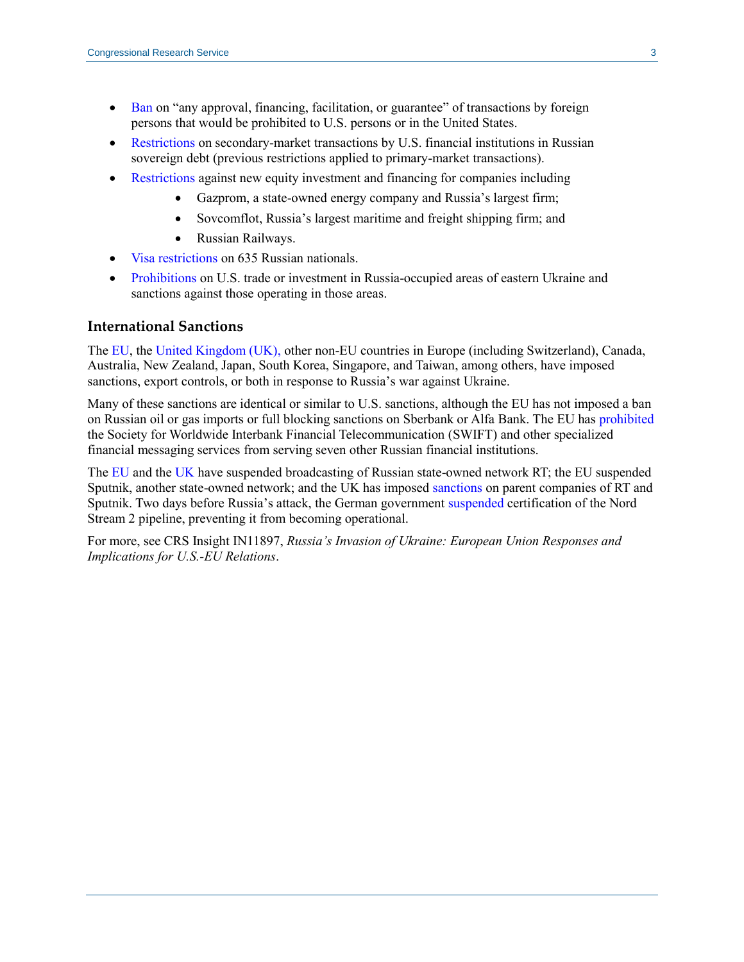- [Ban](https://home.treasury.gov/system/files/126/14071.pdf) on "any approval, financing, facilitation, or guarantee" of transactions by foreign persons that would be prohibited to U.S. persons or in the United States.
- [Restrictions](https://home.treasury.gov/system/files/126/russia_directive_1a.pdf) on secondary-market transactions by U.S. financial institutions in Russian sovereign debt (previous restrictions applied to primary-market transactions).
- [Restrictions](https://home.treasury.gov/news/press-releases/jy0608) against new equity investment and financing for companies including
	- Gazprom, a state-owned energy company and Russia's largest firm;
	- Sovcomflot, Russia's largest maritime and freight shipping firm; and
	- Russian Railways.
- [Visa restrictions](https://www.state.gov/promoting-accountability-for-human-rights-abuses-in-russia-and-belarus-and-taking-action-against-sanctions-evaders/) on 635 Russian nationals.
- [Prohibitions](https://home.treasury.gov/system/files/126/14065.pdf) on U.S. trade or investment in Russia-occupied areas of eastern Ukraine and sanctions against those operating in those areas.

#### **International Sanctions**

The [EU,](https://www.consilium.europa.eu/en/policies/sanctions/restrictive-measures-ukraine-crisis/) the [United Kingdom \(UK\),](https://www.gov.uk/government/collections/uk-sanctions-on-russia) other non-EU countries in Europe (including Switzerland), Canada, Australia, New Zealand, Japan, South Korea, Singapore, and Taiwan, among others, have imposed sanctions, export controls, or both in response to Russia's war against Ukraine.

Many of these sanctions are identical or similar to U.S. sanctions, although the EU has not imposed a ban on Russian oil or gas imports or full blocking sanctions on Sberbank or Alfa Bank. The EU has [prohibited](https://eur-lex.europa.eu/legal-content/EN/TXT/PDF/?uri=CELEX:32022D0346&from=EN) the Society for Worldwide Interbank Financial Telecommunication (SWIFT) and other specialized financial messaging services from serving seven other Russian financial institutions.

The [EU](https://eur-lex.europa.eu/legal-content/EN/TXT/PDF/?uri=CELEX:32022D0351&from=EN) and the [UK](https://www.ofcom.org.uk/news-centre/2022/ofcom-revokes-rt-broadcast-licence) have suspended broadcasting of Russian state-owned network RT; the EU suspended Sputnik, another state-owned network; and the UK has imposed [sanctions](https://www.gov.uk/government/news/foreign-secretary-announces-sanctions-on-putins-propaganda--2) on parent companies of RT and Sputnik. Two days before Russia's attack, the German government [suspended](https://www.spiegel.de/international/europe/german-government-halts-certification-of-nord-stream-2-gas-pipeline-a-c2b987d1-2bb1-4ee5-b6e2-ad98b812a4a6) certification of the Nord Stream 2 pipeline, preventing it from becoming operational.

For more, see CRS Insight IN11897, *[Russia's Invasion of Ukraine: European Union Responses and](https://crsreports.congress.gov/product/pdf/IN/IN11897)  [Implications for U.S.-EU Relations](https://crsreports.congress.gov/product/pdf/IN/IN11897)*.